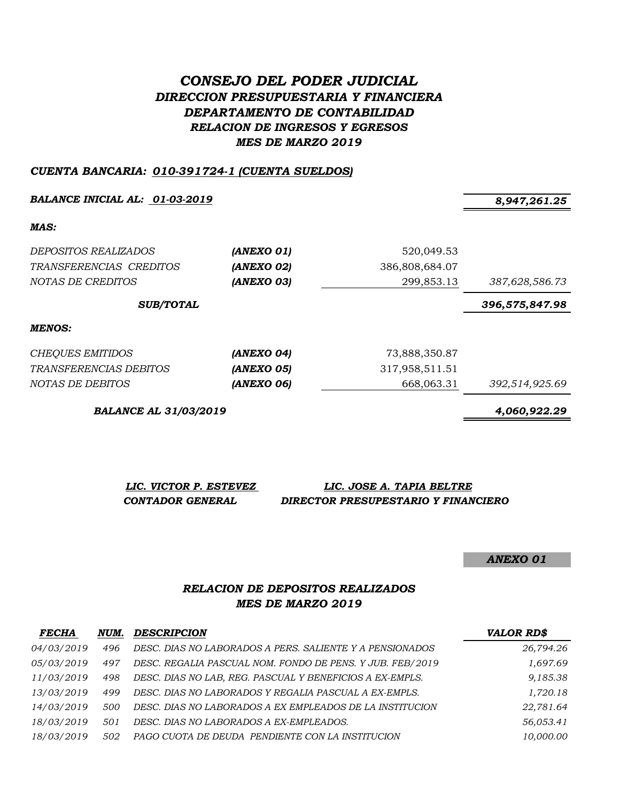# *CONSEJO DEL PODER JUDICIAL DIRECCION PRESUPUESTARIA Y FINANCIERA DEPARTAMENTO DE CONTABILIDAD RELACION DE INGRESOS Y EGRESOS MES DE MARZO 2019*

#### *CUENTA BANCARIA: 010-391724-1 (CUENTA SUELDOS)*

*BALANCE INICIAL AL: 01-03-2019 8,947,261.25*

*MAS:*

| <i>DEPOSITOS REALIZADOS</i><br>TRANSFERENCIAS CREDITOS<br>NOTAS DE CREDITOS | (ANEXO 01)<br>(ANEXO 02)<br>(ANEXO 03) | 520,049.53<br>386,808,684.07<br>299,853.13 | 387,628,586.73 |
|-----------------------------------------------------------------------------|----------------------------------------|--------------------------------------------|----------------|
| <b>SUB/TOTAL</b>                                                            |                                        |                                            | 396,575,847.98 |
| <b>MENOS:</b>                                                               |                                        |                                            |                |
| CHEQUES EMITIDOS                                                            | (ANEXO 04)                             | 73,888,350.87                              |                |
| <i>TRANSFERENCIAS DEBITOS</i>                                               | (ANEXO 05)                             | 317,958,511.51                             |                |
| NOTAS DE DEBITOS                                                            | (ANEXO 06)                             | 668,063.31                                 | 392,514,925.69 |

*BALANCE AL 31/03/2019 4,060,922.29*

| LIC. VICTOR P. ESTEVEZ  | LIC. JOSE A. TAPIA BELTRE           |
|-------------------------|-------------------------------------|
| <b>CONTADOR GENERAL</b> | DIRECTOR PRESUPESTARIO Y FINANCIERO |

*ANEXO 01*

## *RELACION DE DEPOSITOS REALIZADOS MES DE MARZO 2019*

| <b>FECHA</b> | NUM. | <b>DESCRIPCION</b>                                        | <b>VALOR RD\$</b> |
|--------------|------|-----------------------------------------------------------|-------------------|
| 04/03/2019   | 496  | DESC. DIAS NO LABORADOS A PERS. SALIENTE Y A PENSIONADOS  | 26,794.26         |
| 05/03/2019   | 497  | DESC. REGALIA PASCUAL NOM. FONDO DE PENS. Y JUB. FEB/2019 | 1,697.69          |
| 11/03/2019   | 498  | DESC. DIAS NO LAB, REG. PASCUAL Y BENEFICIOS A EX-EMPLS.  | 9,185.38          |
| 13/03/2019   | 499  | DESC. DIAS NO LABORADOS Y REGALIA PASCUAL A EX-EMPLS.     | 1,720.18          |
| 14/03/2019   | 500  | DESC. DIAS NO LABORADOS A EX EMPLEADOS DE LA INSTITUCION  | 22,781.64         |
| 18/03/2019   | 501  | DESC. DIAS NO LABORADOS A EX-EMPLEADOS.                   | 56,053.41         |
| 18/03/2019   | 502  | PAGO CUOTA DE DEUDA PENDIENTE CON LA INSTITUCION          | 10,000.00         |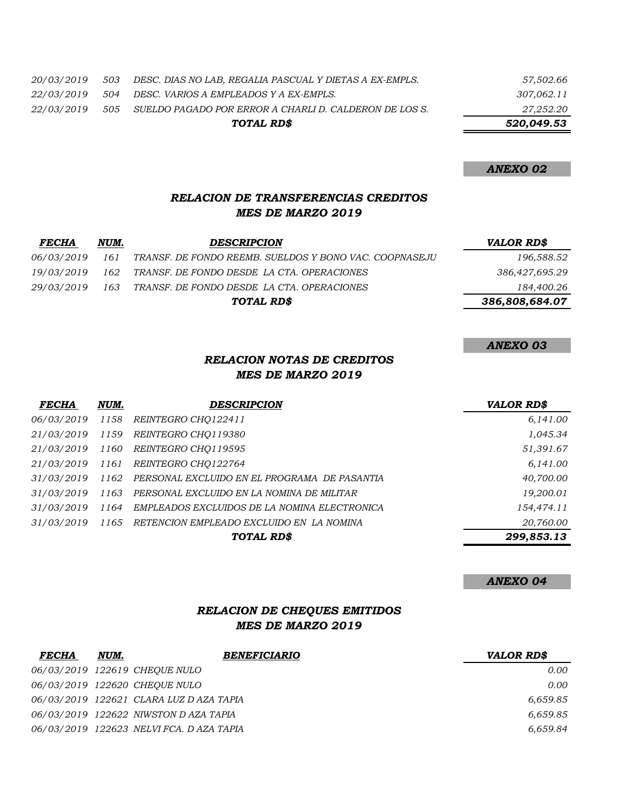*20/03/2019 503 DESC. DIAS NO LAB, REGALIA PASCUAL Y DIETAS A EX-EMPLS. 57,502.66*

*22/03/2019 504 DESC. VARIOS A EMPLEADOS Y A EX-EMPLS. 307,062.11*

*22/03/2019 505 SUELDO PAGADO POR ERROR A CHARLI D. CALDERON DE LOS S. 27,252.20*

*TOTAL RD\$ 520,049.53*

#### *ANEXO 02*

### *RELACION DE TRANSFERENCIAS CREDITOS MES DE MARZO 2019*

| <b>FECHA</b> | NUM. | <b>DESCRIPCION</b>                                     | <b>VALOR RD\$</b> |
|--------------|------|--------------------------------------------------------|-------------------|
| 06/03/2019   | 161  | TRANSF. DE FONDO REEMB. SUELDOS Y BONO VAC. COOPNASEJU | 196,588.52        |
| 19/03/2019   | 162  | TRANSF. DE FONDO DESDE LA CTA. OPERACIONES             | 386,427,695.29    |
| 29/03/2019   | 163  | TRANSF. DE FONDO DESDE LA CTA. OPERACIONES             | 184,400.26        |
|              |      | TOTAL RD\$                                             | 386,808,684.07    |
|              |      |                                                        |                   |

# *ANEXO 03*

### *RELACION NOTAS DE CREDITOS MES DE MARZO 2019*

| <b>FECHA</b>    | NUM. | <b>DESCRIPCION</b>                           | <b>VALOR RD\$</b> |
|-----------------|------|----------------------------------------------|-------------------|
| 06/03/2019 1158 |      | REINTEGRO CHO122411                          | 6,141.00          |
| 21/03/2019      | 1159 | REINTEGRO CHO119380                          | 1,045.34          |
| 21/03/2019      | 1160 | REINTEGRO CHO119595                          | 51,391.67         |
| 21/03/2019      | 1161 | <i>REINTEGRO CHO122764</i>                   | 6,141.00          |
| 31/03/2019      | 1162 | PERSONAL EXCLUIDO EN EL PROGRAMA DE PASANTIA | 40,700.00         |
| 31/03/2019      | 1163 | PERSONAL EXCLUIDO EN LA NOMINA DE MILITAR    | 19,200.01         |
| 31/03/2019      | 1164 | EMPLEADOS EXCLUIDOS DE LA NOMINA ELECTRONICA | 154,474.11        |
| 31/03/2019      | 1165 | RETENCION EMPLEADO EXCLUIDO EN LA NOMINA     | 20,760.00         |
|                 |      | TOTAL RD\$                                   | 299,853.13        |

#### *ANEXO 04*

# *RELACION DE CHEQUES EMITIDOS MES DE MARZO 2019*

| <b>FECHA</b> | NUM. | <b>BENEFICIARIO</b>                     | <b>VALOR RDS</b> |
|--------------|------|-----------------------------------------|------------------|
|              |      | 06/03/2019 122619 CHEOUE NULO           | 0.00             |
|              |      | 06/03/2019 122620 CHEOUE NULO           | 0.00             |
|              |      | 06/03/2019 122621 CLARA LUZ D AZA TAPIA | 6,659.85         |
|              |      | 06/03/2019 122622 NIWSTON DAZA TAPIA    | 6,659.85         |
|              |      | 06/03/2019 122623 NELVIFCA. DAZA TAPIA  | 6.659.84         |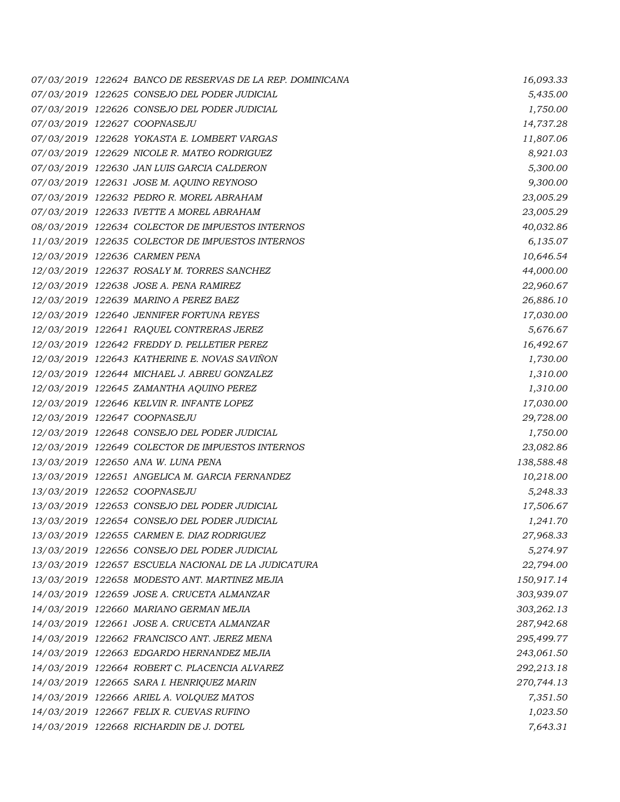*07/03/2019 122624 BANCO DE RESERVAS DE LA REP. DOMINICANA 16,093.33 07/03/2019 122625 CONSEJO DEL PODER JUDICIAL 5,435.00 07/03/2019 122626 CONSEJO DEL PODER JUDICIAL 1,750.00 07/03/2019 122627 COOPNASEJU 14,737.28 07/03/2019 122628 YOKASTA E. LOMBERT VARGAS 11,807.06 07/03/2019 122629 NICOLE R. MATEO RODRIGUEZ 8,921.03 07/03/2019 122630 JAN LUIS GARCIA CALDERON 5,300.00 07/03/2019 122631 JOSE M. AQUINO REYNOSO 9,300.00 07/03/2019 122632 PEDRO R. MOREL ABRAHAM 23,005.29 07/03/2019 122633 IVETTE A MOREL ABRAHAM 23,005.29 08/03/2019 122634 COLECTOR DE IMPUESTOS INTERNOS 40,032.86 11/03/2019 122635 COLECTOR DE IMPUESTOS INTERNOS 6,135.07 12/03/2019 122636 CARMEN PENA 10,646.54 12/03/2019 122637 ROSALY M. TORRES SANCHEZ 44,000.00 12/03/2019 122638 JOSE A. PENA RAMIREZ 22,960.67 12/03/2019 122639 MARINO A PEREZ BAEZ 26,886.10 12/03/2019 122640 JENNIFER FORTUNA REYES 17,030.00 12/03/2019 122641 RAQUEL CONTRERAS JEREZ 5,676.67 12/03/2019 122642 FREDDY D. PELLETIER PEREZ 16,492.67 12/03/2019 122643 KATHERINE E. NOVAS SAVIÑON 1,730.00 12/03/2019 122644 MICHAEL J. ABREU GONZALEZ 1,310.00 12/03/2019 122645 ZAMANTHA AQUINO PEREZ 1,310.00 12/03/2019 122646 KELVIN R. INFANTE LOPEZ 17,030.00 12/03/2019 122647 COOPNASEJU 29,728.00 12/03/2019 122648 CONSEJO DEL PODER JUDICIAL 1,750.00 12/03/2019 122649 COLECTOR DE IMPUESTOS INTERNOS 23,082.86 13/03/2019 122650 ANA W. LUNA PENA 138,588.48 13/03/2019 122651 ANGELICA M. GARCIA FERNANDEZ 10,218.00 13/03/2019 122652 COOPNASEJU 5,248.33 13/03/2019 122653 CONSEJO DEL PODER JUDICIAL 17,506.67 13/03/2019 122654 CONSEJO DEL PODER JUDICIAL 1,241.70 13/03/2019 122655 CARMEN E. DIAZ RODRIGUEZ 27,968.33 13/03/2019 122656 CONSEJO DEL PODER JUDICIAL 5,274.97 13/03/2019 122657 ESCUELA NACIONAL DE LA JUDICATURA 22,794.00 13/03/2019 122658 MODESTO ANT. MARTINEZ MEJIA 150,917.14 14/03/2019 122659 JOSE A. CRUCETA ALMANZAR 303,939.07 14/03/2019 122660 MARIANO GERMAN MEJIA 303,262.13 14/03/2019 122661 JOSE A. CRUCETA ALMANZAR 287,942.68 14/03/2019 122662 FRANCISCO ANT. JEREZ MENA 295,499.77 14/03/2019 122663 EDGARDO HERNANDEZ MEJIA 243,061.50 14/03/2019 122664 ROBERT C. PLACENCIA ALVAREZ 292,213.18 14/03/2019 122665 SARA I. HENRIQUEZ MARIN 270,744.13 14/03/2019 122666 ARIEL A. VOLQUEZ MATOS 7,351.50 14/03/2019 122667 FELIX R. CUEVAS RUFINO 1,023.50 14/03/2019 122668 RICHARDIN DE J. DOTEL 7,643.31*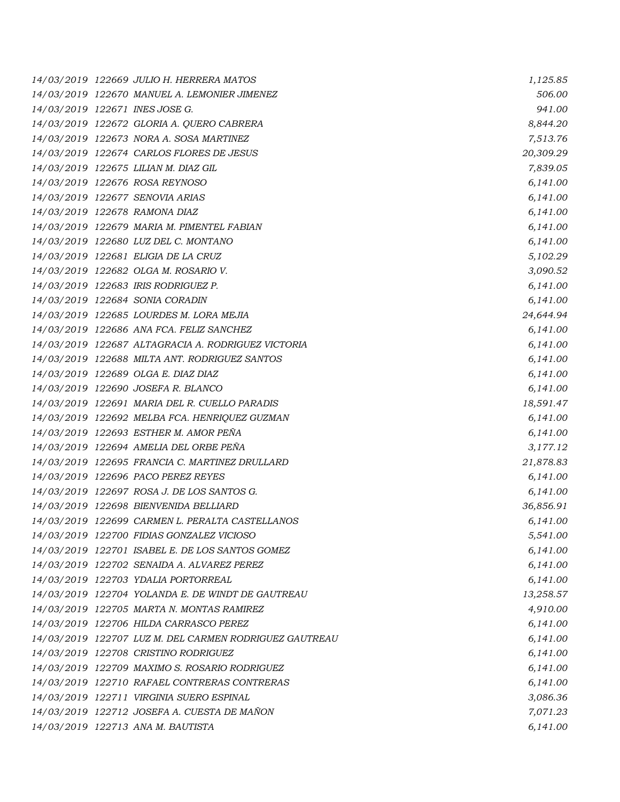|  | 14/03/2019 122669 JULIO H. HERRERA MATOS               | 1,125.85  |
|--|--------------------------------------------------------|-----------|
|  | 14/03/2019 122670 MANUEL A. LEMONIER JIMENEZ           | 506.00    |
|  | 14/03/2019 122671 INES JOSE G.                         | 941.00    |
|  | 14/03/2019 122672 GLORIA A. QUERO CABRERA              | 8,844.20  |
|  | 14/03/2019 122673 NORA A. SOSA MARTINEZ                | 7,513.76  |
|  | 14/03/2019 122674 CARLOS FLORES DE JESUS               | 20,309.29 |
|  | 14/03/2019 122675 LILIAN M. DIAZ GIL                   | 7,839.05  |
|  | 14/03/2019 122676 ROSA REYNOSO                         | 6,141.00  |
|  | 14/03/2019 122677 SENOVIA ARIAS                        | 6,141.00  |
|  | 14/03/2019 122678 RAMONA DIAZ                          | 6,141.00  |
|  | 14/03/2019 122679 MARIA M. PIMENTEL FABIAN             | 6,141.00  |
|  | 14/03/2019 122680 LUZ DEL C. MONTANO                   | 6,141.00  |
|  | 14/03/2019 122681 ELIGIA DE LA CRUZ                    | 5,102.29  |
|  | 14/03/2019 122682 OLGA M. ROSARIO V.                   | 3,090.52  |
|  | 14/03/2019 122683 IRIS RODRIGUEZ P.                    | 6,141.00  |
|  | 14/03/2019 122684 SONIA CORADIN                        | 6,141.00  |
|  | 14/03/2019 122685 LOURDES M. LORA MEJIA                | 24,644.94 |
|  | 14/03/2019 122686 ANA FCA. FELIZ SANCHEZ               | 6,141.00  |
|  | 14/03/2019 122687 ALTAGRACIA A. RODRIGUEZ VICTORIA     | 6,141.00  |
|  | 14/03/2019 122688 MILTA ANT. RODRIGUEZ SANTOS          | 6,141.00  |
|  | 14/03/2019 122689 OLGA E. DIAZ DIAZ                    | 6,141.00  |
|  | 14/03/2019 122690 JOSEFA R. BLANCO                     | 6,141.00  |
|  | 14/03/2019 122691 MARIA DEL R. CUELLO PARADIS          | 18,591.47 |
|  | 14/03/2019 122692 MELBA FCA. HENRIQUEZ GUZMAN          | 6,141.00  |
|  | 14/03/2019 122693 ESTHER M. AMOR PEÑA                  | 6,141.00  |
|  | 14/03/2019 122694 AMELIA DEL ORBE PEÑA                 | 3,177.12  |
|  | 14/03/2019 122695 FRANCIA C. MARTINEZ DRULLARD         | 21,878.83 |
|  | 14/03/2019 122696 PACO PEREZ REYES                     | 6,141.00  |
|  | 14/03/2019 122697 ROSA J. DE LOS SANTOS G.             | 6,141.00  |
|  | 14/03/2019 122698 BIENVENIDA BELLIARD                  | 36,856.91 |
|  | 14/03/2019 122699 CARMEN L. PERALTA CASTELLANOS        | 6,141.00  |
|  | 14/03/2019 122700 FIDIAS GONZALEZ VICIOSO              | 5,541.00  |
|  | 14/03/2019 122701 ISABEL E. DE LOS SANTOS GOMEZ        | 6,141.00  |
|  | 14/03/2019 122702 SENAIDA A. ALVAREZ PEREZ             | 6,141.00  |
|  | 14/03/2019 122703 YDALIA PORTORREAL                    | 6,141.00  |
|  | 14/03/2019 122704 YOLANDA E. DE WINDT DE GAUTREAU      | 13,258.57 |
|  | 14/03/2019 122705 MARTA N. MONTAS RAMIREZ              | 4,910.00  |
|  | 14/03/2019 122706 HILDA CARRASCO PEREZ                 | 6,141.00  |
|  | 14/03/2019 122707 LUZ M. DEL CARMEN RODRIGUEZ GAUTREAU | 6,141.00  |
|  | 14/03/2019 122708 CRISTINO RODRIGUEZ                   | 6,141.00  |
|  | 14/03/2019 122709 MAXIMO S. ROSARIO RODRIGUEZ          | 6,141.00  |
|  | 14/03/2019 122710 RAFAEL CONTRERAS CONTRERAS           | 6,141.00  |
|  | 14/03/2019 122711 VIRGINIA SUERO ESPINAL               | 3,086.36  |
|  | 14/03/2019 122712 JOSEFA A. CUESTA DE MAÑON            | 7,071.23  |
|  | 14/03/2019 122713 ANA M. BAUTISTA                      | 6,141.00  |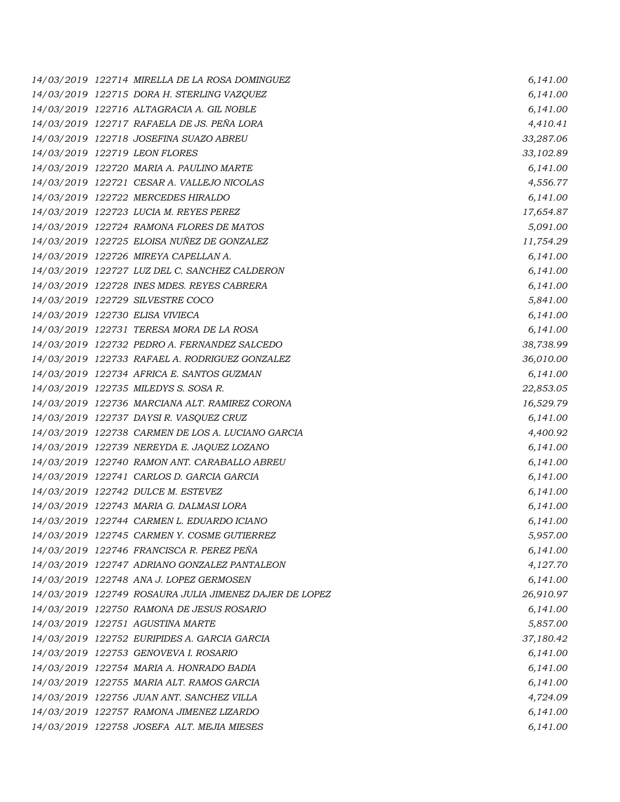*14/03/2019 122714 MIRELLA DE LA ROSA DOMINGUEZ 6,141.00 14/03/2019 122715 DORA H. STERLING VAZQUEZ 6,141.00 14/03/2019 122716 ALTAGRACIA A. GIL NOBLE 6,141.00 14/03/2019 122717 RAFAELA DE JS. PEÑA LORA 4,410.41 14/03/2019 122718 JOSEFINA SUAZO ABREU 33,287.06 14/03/2019 122719 LEON FLORES 33,102.89 14/03/2019 122720 MARIA A. PAULINO MARTE 6,141.00 14/03/2019 122721 CESAR A. VALLEJO NICOLAS 4,556.77 14/03/2019 122722 MERCEDES HIRALDO 6,141.00 14/03/2019 122723 LUCIA M. REYES PEREZ 17,654.87 14/03/2019 122724 RAMONA FLORES DE MATOS 5,091.00 14/03/2019 122725 ELOISA NUÑEZ DE GONZALEZ 11,754.29 14/03/2019 122726 MIREYA CAPELLAN A. 6,141.00 14/03/2019 122727 LUZ DEL C. SANCHEZ CALDERON 6,141.00 14/03/2019 122728 INES MDES. REYES CABRERA 6,141.00 14/03/2019 122729 SILVESTRE COCO 5,841.00 14/03/2019 122730 ELISA VIVIECA 6,141.00 14/03/2019 122731 TERESA MORA DE LA ROSA 6,141.00 14/03/2019 122732 PEDRO A. FERNANDEZ SALCEDO 38,738.99 14/03/2019 122733 RAFAEL A. RODRIGUEZ GONZALEZ 36,010.00 14/03/2019 122734 AFRICA E. SANTOS GUZMAN 6,141.00 14/03/2019 122735 MILEDYS S. SOSA R. 22,853.05 14/03/2019 122736 MARCIANA ALT. RAMIREZ CORONA 16,529.79 14/03/2019 122737 DAYSI R. VASQUEZ CRUZ 6,141.00 14/03/2019 122738 CARMEN DE LOS A. LUCIANO GARCIA 4,400.92 14/03/2019 122739 NEREYDA E. JAQUEZ LOZANO 6,141.00 14/03/2019 122740 RAMON ANT. CARABALLO ABREU 6,141.00 14/03/2019 122741 CARLOS D. GARCIA GARCIA 6,141.00 14/03/2019 122742 DULCE M. ESTEVEZ 6,141.00 14/03/2019 122743 MARIA G. DALMASI LORA 6,141.00 14/03/2019 122744 CARMEN L. EDUARDO ICIANO 6,141.00 14/03/2019 122745 CARMEN Y. COSME GUTIERREZ 5,957.00 14/03/2019 122746 FRANCISCA R. PEREZ PEÑA 6,141.00 14/03/2019 122747 ADRIANO GONZALEZ PANTALEON 4,127.70 14/03/2019 122748 ANA J. LOPEZ GERMOSEN 6,141.00 14/03/2019 122749 ROSAURA JULIA JIMENEZ DAJER DE LOPEZ 26,910.97 14/03/2019 122750 RAMONA DE JESUS ROSARIO 6,141.00 14/03/2019 122751 AGUSTINA MARTE 5,857.00 14/03/2019 122752 EURIPIDES A. GARCIA GARCIA 37,180.42 14/03/2019 122753 GENOVEVA I. ROSARIO 6,141.00 14/03/2019 122754 MARIA A. HONRADO BADIA 6,141.00 14/03/2019 122755 MARIA ALT. RAMOS GARCIA 6,141.00 14/03/2019 122756 JUAN ANT. SANCHEZ VILLA 4,724.09 14/03/2019 122757 RAMONA JIMENEZ LIZARDO 6,141.00 14/03/2019 122758 JOSEFA ALT. MEJIA MIESES 6,141.00*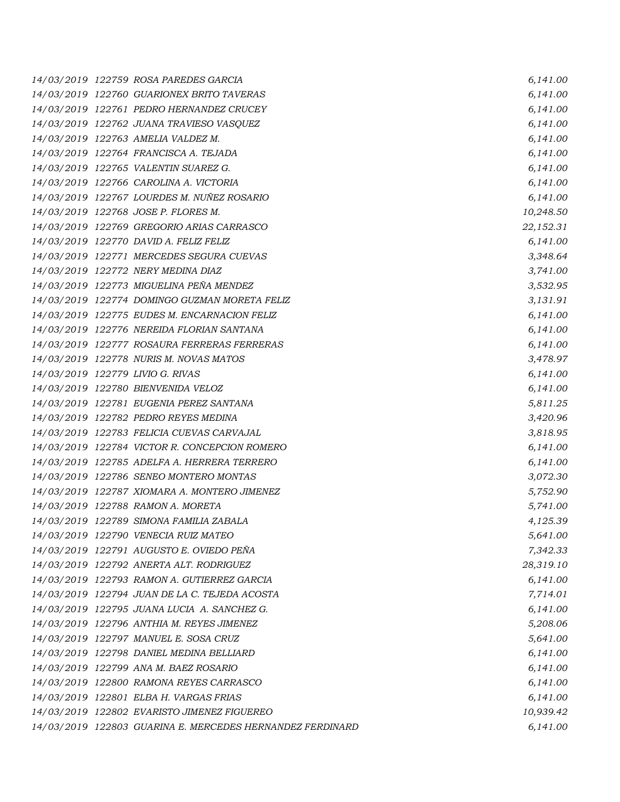*14/03/2019 122759 ROSA PAREDES GARCIA 6,141.00 14/03/2019 122760 GUARIONEX BRITO TAVERAS 6,141.00 14/03/2019 122761 PEDRO HERNANDEZ CRUCEY 6,141.00 14/03/2019 122762 JUANA TRAVIESO VASQUEZ 6,141.00 14/03/2019 122763 AMELIA VALDEZ M. 6,141.00 14/03/2019 122764 FRANCISCA A. TEJADA 6,141.00 14/03/2019 122765 VALENTIN SUAREZ G. 6,141.00 14/03/2019 122766 CAROLINA A. VICTORIA 6,141.00 14/03/2019 122767 LOURDES M. NUÑEZ ROSARIO 6,141.00 14/03/2019 122768 JOSE P. FLORES M. 10,248.50 14/03/2019 122769 GREGORIO ARIAS CARRASCO 22,152.31 14/03/2019 122770 DAVID A. FELIZ FELIZ 6,141.00 14/03/2019 122771 MERCEDES SEGURA CUEVAS 3,348.64 14/03/2019 122772 NERY MEDINA DIAZ 3,741.00 14/03/2019 122773 MIGUELINA PEÑA MENDEZ 3,532.95 14/03/2019 122774 DOMINGO GUZMAN MORETA FELIZ 3,131.91 14/03/2019 122775 EUDES M. ENCARNACION FELIZ 6,141.00 14/03/2019 122776 NEREIDA FLORIAN SANTANA 6,141.00 14/03/2019 122777 ROSAURA FERRERAS FERRERAS 6,141.00 14/03/2019 122778 NURIS M. NOVAS MATOS 3,478.97 14/03/2019 122779 LIVIO G. RIVAS 6,141.00 14/03/2019 122780 BIENVENIDA VELOZ 6,141.00 14/03/2019 122781 EUGENIA PEREZ SANTANA 5,811.25 14/03/2019 122782 PEDRO REYES MEDINA 3,420.96 14/03/2019 122783 FELICIA CUEVAS CARVAJAL 3,818.95 14/03/2019 122784 VICTOR R. CONCEPCION ROMERO 6,141.00 14/03/2019 122785 ADELFA A. HERRERA TERRERO 6,141.00 14/03/2019 122786 SENEO MONTERO MONTAS 3,072.30 14/03/2019 122787 XIOMARA A. MONTERO JIMENEZ 5,752.90 14/03/2019 122788 RAMON A. MORETA 5,741.00 14/03/2019 122789 SIMONA FAMILIA ZABALA 4,125.39 14/03/2019 122790 VENECIA RUIZ MATEO 5,641.00 14/03/2019 122791 AUGUSTO E. OVIEDO PEÑA 7,342.33 14/03/2019 122792 ANERTA ALT. RODRIGUEZ 28,319.10 14/03/2019 122793 RAMON A. GUTIERREZ GARCIA 6,141.00 14/03/2019 122794 JUAN DE LA C. TEJEDA ACOSTA 7,714.01 14/03/2019 122795 JUANA LUCIA A. SANCHEZ G. 6,141.00 14/03/2019 122796 ANTHIA M. REYES JIMENEZ 5,208.06 14/03/2019 122797 MANUEL E. SOSA CRUZ 5,641.00 14/03/2019 122798 DANIEL MEDINA BELLIARD 6,141.00 14/03/2019 122799 ANA M. BAEZ ROSARIO 6,141.00 14/03/2019 122800 RAMONA REYES CARRASCO 6,141.00 14/03/2019 122801 ELBA H. VARGAS FRIAS 6,141.00 14/03/2019 122802 EVARISTO JIMENEZ FIGUEREO 10,939.42 14/03/2019 122803 GUARINA E. MERCEDES HERNANDEZ FERDINARD 6,141.00*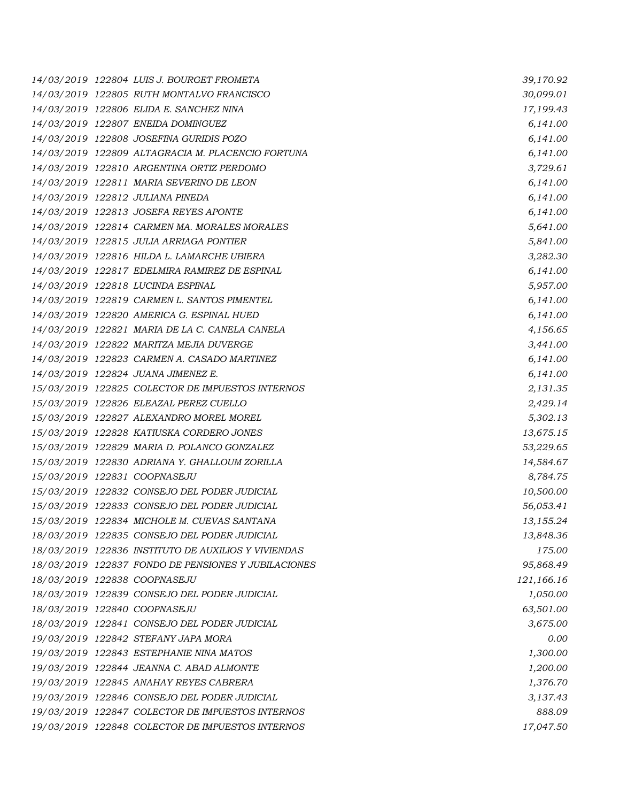|  | 14/03/2019 122804 LUIS J. BOURGET FROMETA           | 39,170.92  |
|--|-----------------------------------------------------|------------|
|  | 14/03/2019 122805 RUTH MONTALVO FRANCISCO           | 30,099.01  |
|  | 14/03/2019 122806 ELIDA E. SANCHEZ NINA             | 17,199.43  |
|  | 14/03/2019 122807 ENEIDA DOMINGUEZ                  | 6,141.00   |
|  | 14/03/2019 122808 JOSEFINA GURIDIS POZO             | 6,141.00   |
|  | 14/03/2019 122809 ALTAGRACIA M. PLACENCIO FORTUNA   | 6,141.00   |
|  | 14/03/2019 122810 ARGENTINA ORTIZ PERDOMO           | 3,729.61   |
|  | 14/03/2019 122811 MARIA SEVERINO DE LEON            | 6,141.00   |
|  | 14/03/2019 122812 JULIANA PINEDA                    | 6,141.00   |
|  | 14/03/2019 122813 JOSEFA REYES APONTE               | 6,141.00   |
|  | 14/03/2019 122814 CARMEN MA. MORALES MORALES        | 5,641.00   |
|  | 14/03/2019 122815 JULIA ARRIAGA PONTIER             | 5,841.00   |
|  | 14/03/2019 122816 HILDA L. LAMARCHE UBIERA          | 3,282.30   |
|  | 14/03/2019 122817 EDELMIRA RAMIREZ DE ESPINAL       | 6,141.00   |
|  | 14/03/2019 122818 LUCINDA ESPINAL                   | 5,957.00   |
|  | 14/03/2019 122819 CARMEN L. SANTOS PIMENTEL         | 6,141.00   |
|  | 14/03/2019 122820 AMERICA G. ESPINAL HUED           | 6,141.00   |
|  | 14/03/2019 122821 MARIA DE LA C. CANELA CANELA      | 4,156.65   |
|  | 14/03/2019 122822 MARITZA MEJIA DUVERGE             | 3,441.00   |
|  | 14/03/2019 122823 CARMEN A. CASADO MARTINEZ         | 6,141.00   |
|  | 14/03/2019 122824 JUANA JIMENEZ E.                  | 6,141.00   |
|  | 15/03/2019 122825 COLECTOR DE IMPUESTOS INTERNOS    | 2,131.35   |
|  | 15/03/2019 122826 ELEAZAL PEREZ CUELLO              | 2,429.14   |
|  | 15/03/2019 122827 ALEXANDRO MOREL MOREL             | 5,302.13   |
|  | 15/03/2019 122828 KATIUSKA CORDERO JONES            | 13,675.15  |
|  | 15/03/2019 122829 MARIA D. POLANCO GONZALEZ         | 53,229.65  |
|  | 15/03/2019 122830 ADRIANA Y. GHALLOUM ZORILLA       | 14,584.67  |
|  | 15/03/2019 122831 COOPNASEJU                        | 8,784.75   |
|  | 15/03/2019 122832 CONSEJO DEL PODER JUDICIAL        | 10,500.00  |
|  | 15/03/2019 122833 CONSEJO DEL PODER JUDICIAL        | 56,053.41  |
|  | 15/03/2019 122834 MICHOLE M. CUEVAS SANTANA         | 13,155.24  |
|  | 18/03/2019 122835 CONSEJO DEL PODER JUDICIAL        | 13,848.36  |
|  | 18/03/2019 122836 INSTITUTO DE AUXILIOS Y VIVIENDAS | 175.00     |
|  | 18/03/2019 122837 FONDO DE PENSIONES Y JUBILACIONES | 95,868.49  |
|  | 18/03/2019 122838 COOPNASEJU                        | 121,166.16 |
|  | 18/03/2019 122839 CONSEJO DEL PODER JUDICIAL        | 1,050.00   |
|  | 18/03/2019 122840 COOPNASEJU                        | 63,501.00  |
|  | 18/03/2019 122841 CONSEJO DEL PODER JUDICIAL        | 3,675.00   |
|  | 19/03/2019 122842 STEFANY JAPA MORA                 | 0.00       |
|  | 19/03/2019 122843 ESTEPHANIE NINA MATOS             | 1,300.00   |
|  | 19/03/2019 122844 JEANNA C. ABAD ALMONTE            | 1,200.00   |
|  | 19/03/2019 122845 ANAHAY REYES CABRERA              | 1,376.70   |
|  | 19/03/2019 122846 CONSEJO DEL PODER JUDICIAL        | 3,137.43   |
|  | 19/03/2019 122847 COLECTOR DE IMPUESTOS INTERNOS    | 888.09     |
|  | 19/03/2019 122848 COLECTOR DE IMPUESTOS INTERNOS    | 17,047.50  |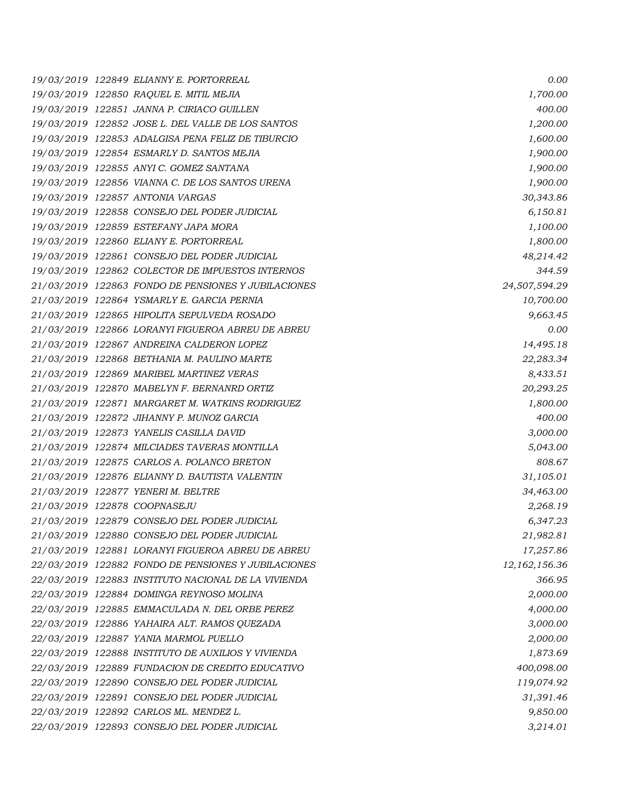*19/03/2019 122849 ELIANNY E. PORTORREAL 0.00 19/03/2019 122850 RAQUEL E. MITIL MEJIA 1,700.00 19/03/2019 122851 JANNA P. CIRIACO GUILLEN 400.00 19/03/2019 122852 JOSE L. DEL VALLE DE LOS SANTOS 1,200.00 19/03/2019 122853 ADALGISA PENA FELIZ DE TIBURCIO 1,600.00 19/03/2019 122854 ESMARLY D. SANTOS MEJIA 1,900.00 19/03/2019 122855 ANYI C. GOMEZ SANTANA 1,900.00 19/03/2019 122856 VIANNA C. DE LOS SANTOS URENA 1,900.00 19/03/2019 122857 ANTONIA VARGAS 30,343.86 19/03/2019 122858 CONSEJO DEL PODER JUDICIAL 6,150.81 19/03/2019 122859 ESTEFANY JAPA MORA 1,100.00 19/03/2019 122860 ELIANY E. PORTORREAL 1,800.00 19/03/2019 122861 CONSEJO DEL PODER JUDICIAL 48,214.42 19/03/2019 122862 COLECTOR DE IMPUESTOS INTERNOS 344.59 21/03/2019 122863 FONDO DE PENSIONES Y JUBILACIONES 24,507,594.29 21/03/2019 122864 YSMARLY E. GARCIA PERNIA 10,700.00 21/03/2019 122865 HIPOLITA SEPULVEDA ROSADO 9,663.45 21/03/2019 122866 LORANYI FIGUEROA ABREU DE ABREU 0.00 21/03/2019 122867 ANDREINA CALDERON LOPEZ 14,495.18 21/03/2019 122868 BETHANIA M. PAULINO MARTE 22,283.34 21/03/2019 122869 MARIBEL MARTINEZ VERAS 8,433.51 21/03/2019 122870 MABELYN F. BERNANRD ORTIZ 20,293.25 21/03/2019 122871 MARGARET M. WATKINS RODRIGUEZ 1,800.00 21/03/2019 122872 JIHANNY P. MUNOZ GARCIA 400.00 21/03/2019 122873 YANELIS CASILLA DAVID 3,000.00 21/03/2019 122874 MILCIADES TAVERAS MONTILLA 5,043.00 21/03/2019 122875 CARLOS A. POLANCO BRETON 808.67 21/03/2019 122876 ELIANNY D. BAUTISTA VALENTIN 31,105.01 21/03/2019 122877 YENERI M. BELTRE 34,463.00 21/03/2019 122878 COOPNASEJU 2,268.19 21/03/2019 122879 CONSEJO DEL PODER JUDICIAL 6,347.23 21/03/2019 122880 CONSEJO DEL PODER JUDICIAL 21,982.81 21/03/2019 122881 LORANYI FIGUEROA ABREU DE ABREU 17,257.86 22/03/2019 122882 FONDO DE PENSIONES Y JUBILACIONES 12,162,156.36 22/03/2019 122883 INSTITUTO NACIONAL DE LA VIVIENDA 366.95 22/03/2019 122884 DOMINGA REYNOSO MOLINA 2,000.00 22/03/2019 122885 EMMACULADA N. DEL ORBE PEREZ 4,000.00 22/03/2019 122886 YAHAIRA ALT. RAMOS QUEZADA 3,000.00 22/03/2019 122887 YANIA MARMOL PUELLO 2,000.00 22/03/2019 122888 INSTITUTO DE AUXILIOS Y VIVIENDA 1,873.69 22/03/2019 122889 FUNDACION DE CREDITO EDUCATIVO 400,098.00 22/03/2019 122890 CONSEJO DEL PODER JUDICIAL 119,074.92 22/03/2019 122891 CONSEJO DEL PODER JUDICIAL 31,391.46 22/03/2019 122892 CARLOS ML. MENDEZ L. 9,850.00 22/03/2019 122893 CONSEJO DEL PODER JUDICIAL 3,214.01*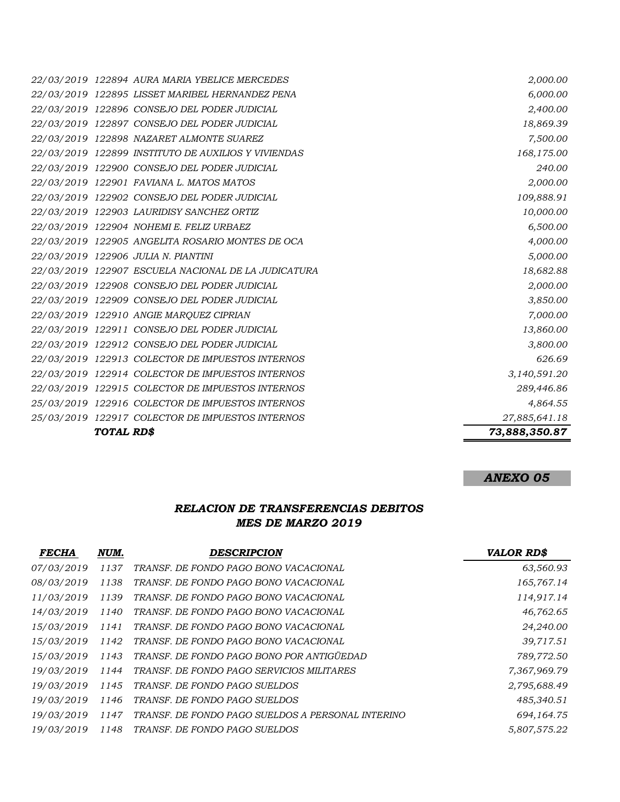|  | 25/03/2019 122917 COLECTOR DE IMPUESTOS INTERNOS    | 27,885,641.18 |
|--|-----------------------------------------------------|---------------|
|  | 25/03/2019 122916 COLECTOR DE IMPUESTOS INTERNOS    | 4,864.55      |
|  | 22/03/2019 122915 COLECTOR DE IMPUESTOS INTERNOS    | 289,446.86    |
|  | 22/03/2019 122914 COLECTOR DE IMPUESTOS INTERNOS    | 3,140,591.20  |
|  | 22/03/2019 122913 COLECTOR DE IMPUESTOS INTERNOS    | 626.69        |
|  | 22/03/2019 122912 CONSEJO DEL PODER JUDICIAL        | 3,800.00      |
|  | 22/03/2019 122911 CONSEJO DEL PODER JUDICIAL        | 13,860.00     |
|  | 22/03/2019 122910 ANGIE MARQUEZ CIPRIAN             | 7,000.00      |
|  | 22/03/2019 122909 CONSEJO DEL PODER JUDICIAL        | 3,850.00      |
|  | 22/03/2019 122908 CONSEJO DEL PODER JUDICIAL        | 2,000.00      |
|  | 22/03/2019 122907 ESCUELA NACIONAL DE LA JUDICATURA | 18,682.88     |
|  | 22/03/2019 122906 JULIA N. PIANTINI                 | 5,000.00      |
|  | 22/03/2019 122905 ANGELITA ROSARIO MONTES DE OCA    | 4,000.00      |
|  | 22/03/2019 122904 NOHEMI E. FELIZ URBAEZ            | 6,500.00      |
|  | 22/03/2019 122903 LAURIDISY SANCHEZ ORTIZ           | 10,000.00     |
|  | 22/03/2019 122902 CONSEJO DEL PODER JUDICIAL        | 109,888.91    |
|  | 22/03/2019 122901 FAVIANA L. MATOS MATOS            | 2,000.00      |
|  | 22/03/2019 122900 CONSEJO DEL PODER JUDICIAL        | 240.00        |
|  | 22/03/2019 122899 INSTITUTO DE AUXILIOS Y VIVIENDAS | 168,175.00    |
|  | 22/03/2019 122898 NAZARET ALMONTE SUAREZ            | 7,500.00      |
|  | 22/03/2019 122897 CONSEJO DEL PODER JUDICIAL        | 18,869.39     |
|  | 22/03/2019 122896 CONSEJO DEL PODER JUDICIAL        | 2,400.00      |
|  | 22/03/2019 122895 LISSET MARIBEL HERNANDEZ PENA     | 6,000.00      |
|  | 22/03/2019 122894 AURA MARIA YBELICE MERCEDES       | 2,000.00      |

# *ANEXO 05*

# *RELACION DE TRANSFERENCIAS DEBITOS MES DE MARZO 2019*

| <b>FECHA</b> | NUM. | <b>DESCRIPCION</b>                                | <b>VALOR RD\$</b> |
|--------------|------|---------------------------------------------------|-------------------|
| 07/03/2019   | 1137 | TRANSF. DE FONDO PAGO BONO VACACIONAL             | 63,560.93         |
| 08/03/2019   | 1138 | TRANSF. DE FONDO PAGO BONO VACACIONAL             | 165,767.14        |
| 11/03/2019   | 1139 | TRANSF. DE FONDO PAGO BONO VACACIONAL             | 114,917.14        |
| 14/03/2019   | 1140 | TRANSF. DE FONDO PAGO BONO VACACIONAL             | 46,762.65         |
| 15/03/2019   | 1141 | TRANSF. DE FONDO PAGO BONO VACACIONAL             | 24,240.00         |
| 15/03/2019   | 1142 | TRANSF. DE FONDO PAGO BONO VACACIONAL             | 39,717.51         |
| 15/03/2019   | 1143 | TRANSF. DE FONDO PAGO BONO POR ANTIGÜEDAD         | 789,772.50        |
| 19/03/2019   | 1144 | TRANSF. DE FONDO PAGO SERVICIOS MILITARES         | 7,367,969.79      |
| 19/03/2019   | 1145 | TRANSF. DE FONDO PAGO SUELDOS                     | 2,795,688.49      |
| 19/03/2019   | 1146 | TRANSF. DE FONDO PAGO SUELDOS                     | 485,340.51        |
| 19/03/2019   | 1147 | TRANSF. DE FONDO PAGO SUELDOS A PERSONAL INTERINO | 694,164.75        |
| 19/03/2019   | 1148 | TRANSF. DE FONDO PAGO SUELDOS                     | 5,807,575.22      |